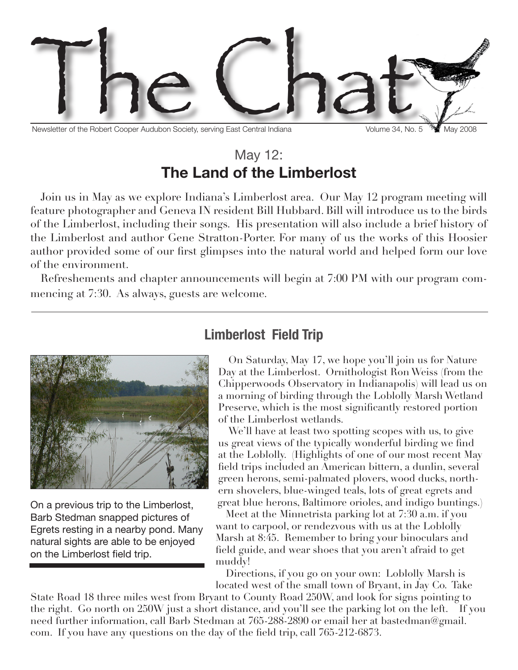

Newsletter of the Robert Cooper Audubon Society, serving East Central Indiana Volume 34, No. 5 May 2008

## May 12: **The Land of the Limberlost**

Join us in May as we explore Indiana's Limberlost area. Our May 12 program meeting will feature photographer and Geneva IN resident Bill Hubbard. Bill will introduce us to the birds of the Limberlost, including their songs. His presentation will also include a brief history of the Limberlost and author Gene Stratton-Porter. For many of us the works of this Hoosier author provided some of our first glimpses into the natural world and helped form our love of the environment.

Refreshements and chapter announcements will begin at 7:00 PM with our program commencing at 7:30. As always, guests are welcome.



On a previous trip to the Limberlost, Barb Stedman snapped pictures of Egrets resting in a nearby pond. Many natural sights are able to be enjoyed on the Limberlost field trip.

### **Limberlost Field Trip**

On Saturday, May 17, we hope you'll join us for Nature Day at the Limberlost. Ornithologist Ron Weiss (from the Chipperwoods Observatory in Indianapolis) will lead us on a morning of birding through the Loblolly Marsh Wetland Preserve, which is the most significantly restored portion of the Limberlost wetlands.

We'll have at least two spotting scopes with us, to give us great views of the typically wonderful birding we find at the Loblolly. (Highlights of one of our most recent May field trips included an American bittern, a dunlin, several green herons, semi-palmated plovers, wood ducks, northern shovelers, blue-winged teals, lots of great egrets and great blue herons, Baltimore orioles, and indigo buntings.)

Meet at the Minnetrista parking lot at 7:30 a.m. if you want to carpool, or rendezvous with us at the Loblolly Marsh at 8:45. Remember to bring your binoculars and field guide, and wear shoes that you aren't afraid to get muddy!

Directions, if you go on your own: Loblolly Marsh is located west of the small town of Bryant, in Jay Co. Take

State Road 18 three miles west from Bryant to County Road 250W, and look for signs pointing to the right. Go north on 250W just a short distance, and you'll see the parking lot on the left. If you need further information, call Barb Stedman at 765-288-2890 or email her at bastedman@gmail. com. If you have any questions on the day of the field trip, call 765-212-6873.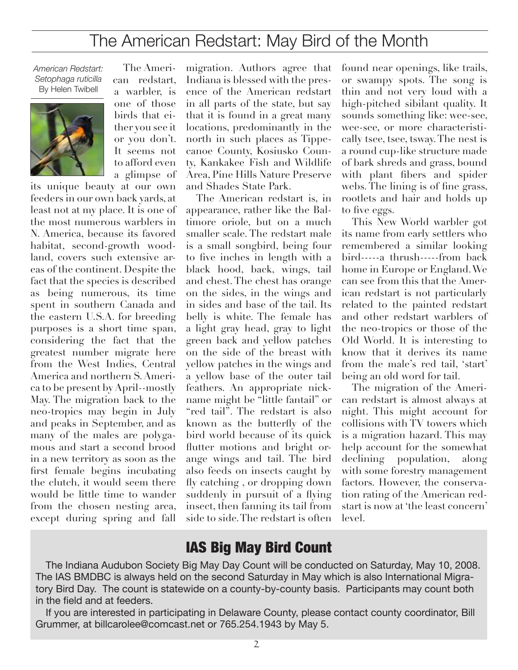# The American Redstart: May Bird of the Month

*American Redstart: Setophaga ruticilla* By Helen Twibell



The American redstart, a warbler, is one of those birds that either you see it or you don't. It seems not to afford even a glimpse of

its unique beauty at our own feeders in our own back yards, at least not at my place. It is one of the most numerous warblers in N. America, because its favored habitat, second-growth woodland, covers such extensive areas of the continent. Despite the fact that the species is described as being numerous, its time spent in southern Canada and the eastern U.S.A. for breeding purposes is a short time span, considering the fact that the greatest number migrate here from the West Indies, Central America and northern S. America to be present by April--mostly May. The migration back to the neo-tropics may begin in July and peaks in September, and as many of the males are polygamous and start a second brood in a new territory as soon as the first female begins incubating the clutch, it would seem there would be little time to wander from the chosen nesting area, except during spring and fall

migration. Authors agree that Indiana is blessed with the presence of the American redstart in all parts of the state, but say that it is found in a great many locations, predominantly in the north in such places as Tippecanoe County, Kosiusko County, Kankakee Fish and Wildlife Area, Pine Hills Nature Preserve and Shades State Park.

The American redstart is, in appearance, rather like the Baltimore oriole, but on a much smaller scale. The redstart male is a small songbird, being four to five inches in length with a black hood, back, wings, tail and chest. The chest has orange on the sides, in the wings and in sides and base of the tail. Its belly is white. The female has a light gray head, gray to light green back and yellow patches on the side of the breast with yellow patches in the wings and a yellow base of the outer tail feathers. An appropriate nickname might be "little fantail" or "red tail". The redstart is also known as the butterfly of the bird world because of its quick flutter motions and bright orange wings and tail. The bird also feeds on insects caught by fly catching , or dropping down suddenly in pursuit of a flying insect, then fanning its tail from side to side. The redstart is often

found near openings, like trails, or swampy spots. The song is thin and not very loud with a high-pitched sibilant quality. It sounds something like: wee-see, wee-see, or more characteristically tsee, tsee, tsway. The nest is a round cup-like structure made of bark shreds and grass, bound with plant fibers and spider webs. The lining is of fine grass, rootlets and hair and holds up to five eggs.

This New World warbler got its name from early settlers who remembered a similar looking bird-----a thrush-----from back home in Europe or England. We can see from this that the American redstart is not particularly related to the painted redstart and other redstart warblers of the neo-tropics or those of the Old World. It is interesting to know that it derives its name from the male's red tail, 'start' being an old word for tail.

The migration of the American redstart is almost always at night. This might account for collisions with TV towers which is a migration hazard. This may help account for the somewhat declining population, along with some forestry management factors. However, the conservation rating of the American redstart is now at 'the least concern' level.

#### IAS Big May Bird Count

The Indiana Audubon Society Big May Day Count will be conducted on Saturday, May 10, 2008. The IAS BMDBC is always held on the second Saturday in May which is also International Migratory Bird Day. The count is statewide on a county-by-county basis. Participants may count both in the field and at feeders.

If you are interested in participating in Delaware County, please contact county coordinator, Bill Grummer, at billcarolee@comcast.net or 765.254.1943 by May 5.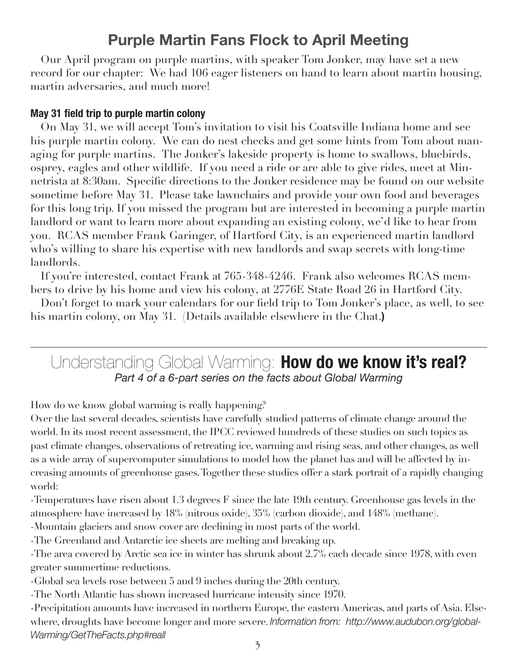## **Purple Martin Fans Flock to April Meeting**

Our April program on purple martins, with speaker Tom Jonker, may have set a new record for our chapter: We had 106 eager listeners on hand to learn about martin housing, martin adversaries, and much more!

#### **May 31 field trip to purple martin colony**

On May 31, we will accept Tom's invitation to visit his Coatsville Indiana home and see his purple martin colony. We can do nest checks and get some hints from Tom about managing for purple martins. The Jonker's lakeside property is home to swallows, bluebirds, osprey, eagles and other wildlife. If you need a ride or are able to give rides, meet at Minnetrista at 8:30am. Specific directions to the Jonker residence may be found on our website sometime before May 31. Please take lawnchairs and provide your own food and beverages for this long trip. If you missed the program but are interested in becoming a purple martin landlord or want to learn more about expanding an existing colony, we'd like to hear from you. RCAS member Frank Garinger, of Hartford City, is an experienced martin landlord who's willing to share his expertise with new landlords and swap secrets with long-time landlords.

If you're interested, contact Frank at 765-348-4246. Frank also welcomes RCAS members to drive by his home and view his colony, at 2776E State Road 26 in Hartford City.

Don't forget to mark your calendars for our field trip to Tom Jonker's place, as well, to see his martin colony, on May 31. (Details available elsewhere in the Chat.**)**

Understanding Global Warming: **How do we know it's real?** *Part 4 of a 6-part series on the facts about Global Warming*

How do we know global warming is really happening?

Over the last several decades, scientists have carefully studied patterns of climate change around the world. In its most recent assessment, the IPCC reviewed hundreds of these studies on such topics as past climate changes, observations of retreating ice, warming and rising seas, and other changes, as well as a wide array of supercomputer simulations to model how the planet has and will be affected by increasing amounts of greenhouse gases. Together these studies offer a stark portrait of a rapidly changing world:

-Temperatures have risen about 1.3 degrees F since the late 19th century. Greenhouse gas levels in the atmosphere have increased by 18% (nitrous oxide), 35% (carbon dioxide), and 148% (methane).

-Mountain glaciers and snow cover are declining in most parts of the world.

-The Greenland and Antarctic ice sheets are melting and breaking up.

-The area covered by Arctic sea ice in winter has shrunk about 2.7% each decade since 1978, with even greater summertime reductions.

-Global sea levels rose between 5 and 9 inches during the 20th century.

-The North Atlantic has shown increased hurricane intensity since 1970.

-Precipitation amounts have increased in northern Europe, the eastern Americas, and parts of Asia. Elsewhere, droughts have become longer and more severe. *Information from: http://www.audubon.org/global-Warming/GetTheFacts.php#reall*